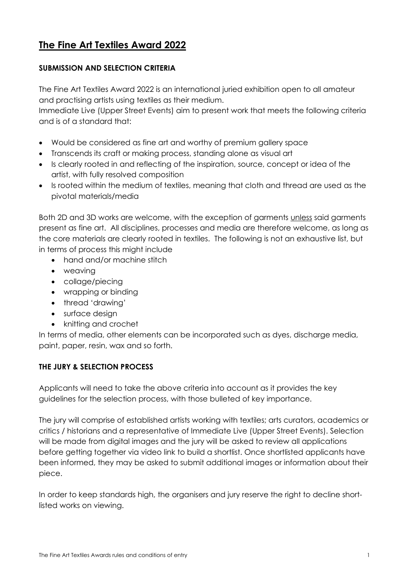# **The Fine Art Textiles Award 2022**

# **SUBMISSION AND SELECTION CRITERIA**

The Fine Art Textiles Award 2022 is an international juried exhibition open to all amateur and practising artists using textiles as their medium.

Immediate Live (Upper Street Events) aim to present work that meets the following criteria and is of a standard that:

- Would be considered as fine art and worthy of premium gallery space
- Transcends its craft or making process, standing alone as visual art
- Is clearly rooted in and reflecting of the inspiration, source, concept or idea of the artist, with fully resolved composition
- Is rooted within the medium of textiles, meaning that cloth and thread are used as the pivotal materials/media

Both 2D and 3D works are welcome, with the exception of garments unless said garments present as fine art. All disciplines, processes and media are therefore welcome, as long as the core materials are clearly rooted in textiles. The following is not an exhaustive list, but in terms of process this might include

- hand and/or machine stitch
- weaving
- collage/piecing
- wrapping or binding
- thread 'drawing'
- surface design
- knitting and crochet

In terms of media, other elements can be incorporated such as dyes, discharge media, paint, paper, resin, wax and so forth.

# **THE JURY & SELECTION PROCESS**

Applicants will need to take the above criteria into account as it provides the key guidelines for the selection process, with those bulleted of key importance.

The jury will comprise of established artists working with textiles; arts curators, academics or critics / historians and a representative of Immediate Live (Upper Street Events). Selection will be made from digital images and the jury will be asked to review all applications before getting together via video link to build a shortlist. Once shortlisted applicants have been informed, they may be asked to submit additional images or information about their piece.

In order to keep standards high, the organisers and jury reserve the right to decline shortlisted works on viewing.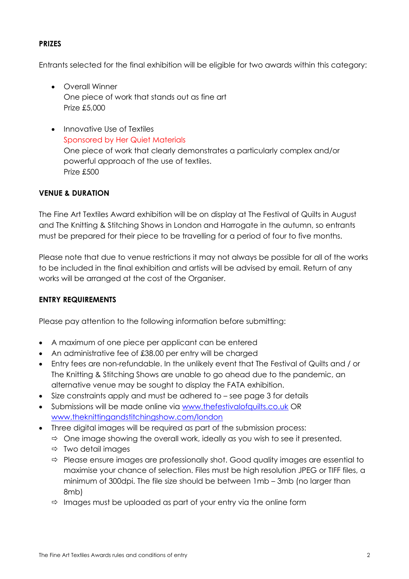# **PRIZES**

Entrants selected for the final exhibition will be eligible for two awards within this category:

- Overall Winner One piece of work that stands out as fine art Prize £5,000
- Innovative Use of Textiles Sponsored by Her Quiet Materials One piece of work that clearly demonstrates a particularly complex and/or powerful approach of the use of textiles. Prize £500

# **VENUE & DURATION**

The Fine Art Textiles Award exhibition will be on display at The Festival of Quilts in August and The Knitting & Stitching Shows in London and Harrogate in the autumn, so entrants must be prepared for their piece to be travelling for a period of four to five months.

Please note that due to venue restrictions it may not always be possible for all of the works to be included in the final exhibition and artists will be advised by email. Return of any works will be arranged at the cost of the Organiser.

#### **ENTRY REQUIREMENTS**

Please pay attention to the following information before submitting:

- A maximum of one piece per applicant can be entered
- An administrative fee of £38.00 per entry will be charged
- Entry fees are non-refundable. In the unlikely event that The Festival of Quilts and / or The Knitting & Stitching Shows are unable to go ahead due to the pandemic, an alternative venue may be sought to display the FATA exhibition.
- Size constraints apply and must be adhered to see page 3 for details
- Submissions will be made online via [www.thefestivalofquilts.co.uk](http://www.thefestivalofquilts.co.uk/) OR [www.theknittingandstitchingshow.com/london](http://www.theknittingandstitchingshow.com/london)
- Three digital images will be required as part of the submission process:
	- $\Rightarrow$  One image showing the overall work, ideally as you wish to see it presented.
	- $\Rightarrow$  Two detail images
	- $\Rightarrow$  Please ensure images are professionally shot. Good quality images are essential to maximise your chance of selection. Files must be high resolution JPEG or TIFF files, a minimum of 300dpi. The file size should be between 1mb – 3mb (no larger than 8mb)
	- $\Rightarrow$  Images must be uploaded as part of your entry via the online form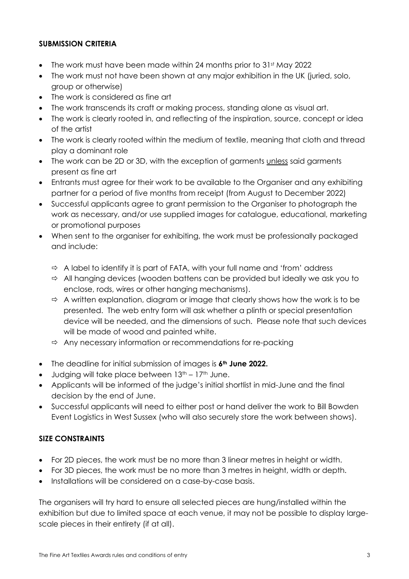# **SUBMISSION CRITERIA**

- The work must have been made within 24 months prior to  $31<sup>st</sup>$  May 2022
- The work must not have been shown at any major exhibition in the UK (juried, solo, group or otherwise)
- The work is considered as fine art
- The work transcends its craft or making process, standing alone as visual art.
- The work is clearly rooted in, and reflecting of the inspiration, source, concept or idea of the artist
- The work is clearly rooted within the medium of textile, meaning that cloth and thread play a dominant role
- The work can be 2D or 3D, with the exception of garments unless said garments present as fine art
- Entrants must agree for their work to be available to the Organiser and any exhibiting partner for a period of five months from receipt (from August to December 2022)
- Successful applicants agree to grant permission to the Organiser to photograph the work as necessary, and/or use supplied images for catalogue, educational, marketing or promotional purposes
- When sent to the organiser for exhibiting, the work must be professionally packaged and include:
	- $\Rightarrow$  A label to identify it is part of FATA, with your full name and 'from' address
	- $\Rightarrow$  All hanging devices (wooden battens can be provided but ideally we ask you to enclose, rods, wires or other hanging mechanisms).
	- $\Rightarrow$  A written explanation, diagram or image that clearly shows how the work is to be presented. The web entry form will ask whether a plinth or special presentation device will be needed, and the dimensions of such. Please note that such devices will be made of wood and painted white.
	- $\Rightarrow$  Any necessary information or recommendations for re-packing
- The deadline for initial submission of images is **6th June 2022.**
- Judging will take place between  $13<sup>th</sup> 17<sup>th</sup>$  June.
- Applicants will be informed of the judge's initial shortlist in mid-June and the final decision by the end of June.
- Successful applicants will need to either post or hand deliver the work to Bill Bowden Event Logistics in West Sussex (who will also securely store the work between shows).

# **SIZE CONSTRAINTS**

- For 2D pieces, the work must be no more than 3 linear metres in height or width.
- For 3D pieces, the work must be no more than 3 metres in height, width or depth.
- Installations will be considered on a case-by-case basis.

The organisers will try hard to ensure all selected pieces are hung/installed within the exhibition but due to limited space at each venue, it may not be possible to display largescale pieces in their entirety (if at all).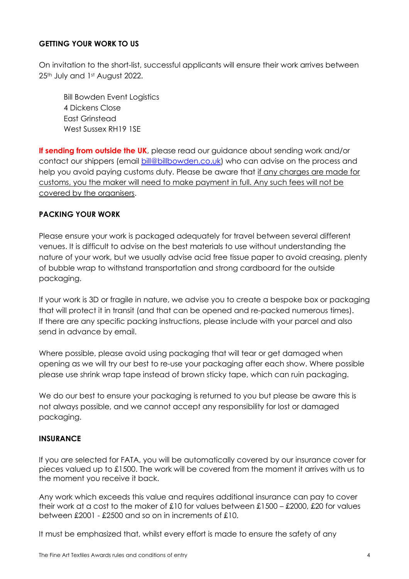# **GETTING YOUR WORK TO US**

On invitation to the short-list, successful applicants will ensure their work arrives between 25<sup>th</sup> July and 1st August 2022.

Bill Bowden Event Logistics 4 Dickens Close East Grinstead West Sussex RH19 1SE

**If sending from outside the UK**, please read our guidance about sending work and/or contact our shippers (email [bill@billbowden.co.uk\)](mailto:bill@billbowden.co.uk) who can advise on the process and help you avoid paying customs duty. Please be aware that if any charges are made for customs, you the maker will need to make payment in full. Any such fees will not be covered by the organisers.

# **PACKING YOUR WORK**

Please ensure your work is packaged adequately for travel between several different venues. It is difficult to advise on the best materials to use without understanding the nature of your work, but we usually advise acid free tissue paper to avoid creasing, plenty of bubble wrap to withstand transportation and strong cardboard for the outside packaging.

If your work is 3D or fragile in nature, we advise you to create a bespoke box or packaging that will protect it in transit (and that can be opened and re-packed numerous times). If there are any specific packing instructions, please include with your parcel and also send in advance by email.

Where possible, please avoid using packaging that will tear or get damaged when opening as we will try our best to re-use your packaging after each show. Where possible please use shrink wrap tape instead of brown sticky tape, which can ruin packaging.

We do our best to ensure your packaging is returned to you but please be aware this is not always possible, and we cannot accept any responsibility for lost or damaged packaging.

# **INSURANCE**

If you are selected for FATA, you will be automatically covered by our insurance cover for pieces valued up to £1500. The work will be covered from the moment it arrives with us to the moment you receive it back.

Any work which exceeds this value and requires additional insurance can pay to cover their work at a cost to the maker of £10 for values between £1500 – £2000, £20 for values between £2001 - £2500 and so on in increments of £10.

It must be emphasized that, whilst every effort is made to ensure the safety of any